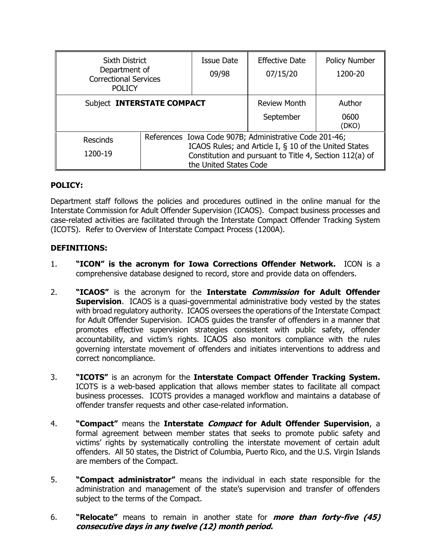| <b>Sixth District</b><br>Department of<br><b>Correctional Services</b> |                                                                                                                                            | Issue Date<br>09/98 | <b>Effective Date</b><br>07/15/20 | Policy Number<br>1200-20 |
|------------------------------------------------------------------------|--------------------------------------------------------------------------------------------------------------------------------------------|---------------------|-----------------------------------|--------------------------|
| <b>POLICY</b>                                                          |                                                                                                                                            |                     |                                   |                          |
| Subject INTERSTATE COMPACT                                             |                                                                                                                                            |                     | <b>Review Month</b>               | Author                   |
|                                                                        |                                                                                                                                            |                     | September                         | 0600<br>(DKO)            |
| <b>Rescinds</b>                                                        | References Iowa Code 907B; Administrative Code 201-46;                                                                                     |                     |                                   |                          |
| 1200-19                                                                | ICAOS Rules; and Article I, § 10 of the United States<br>Constitution and pursuant to Title 4, Section 112(a) of<br>the United States Code |                     |                                   |                          |

## **POLICY:**

Department staff follows the policies and procedures outlined in the online manual for the Interstate Commission for Adult Offender Supervision (ICAOS). Compact business processes and case-related activities are facilitated through the Interstate Compact Offender Tracking System (ICOTS). Refer to Overview of Interstate Compact Process (1200A).

# **DEFINITIONS:**

- 1. **"ICON" is the acronym for Iowa Corrections Offender Network.** ICON is a comprehensive database designed to record, store and provide data on offenders.
- 2. **"ICAOS"** is the acronym for the **Interstate Commission for Adult Offender Supervision.** ICAOS is a quasi-governmental administrative body vested by the states with broad regulatory authority. ICAOS oversees the operations of the Interstate Compact for Adult Offender Supervision. ICAOS guides the transfer of offenders in a manner that promotes effective supervision strategies consistent with public safety, offender accountability, and victim's rights. ICAOS also monitors compliance with the rules governing interstate movement of offenders and initiates interventions to address and correct noncompliance.
- 3. **"ICOTS"** is an acronym for the **Interstate Compact Offender Tracking System.** ICOTS is a web-based application that allows member states to facilitate all compact business processes. ICOTS provides a managed workflow and maintains a database of offender transfer requests and other case-related information.
- 4. **"Compact"** means the **Interstate Compact for Adult Offender Supervision**, a formal agreement between member states that seeks to promote public safety and victims' rights by systematically controlling the interstate movement of certain adult offenders. All 50 states, the District of Columbia, Puerto Rico, and the U.S. Virgin Islands are members of the Compact.
- 5. **"Compact administrator"** means the individual in each state responsible for the administration and management of the state's supervision and transfer of offenders subject to the terms of the Compact.
- 6. **"Relocate"** means to remain in another state for **more than forty-five (45) consecutive days in any twelve (12) month period.**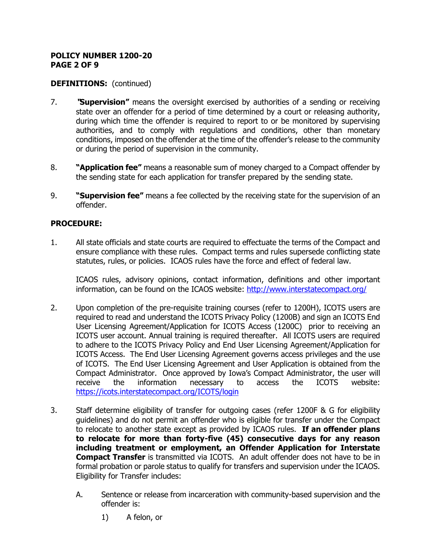### **POLICY NUMBER 1200-20 PAGE 2 OF 9**

## **DEFINITIONS:** (continued)

- 7. **"Supervision"** means the oversight exercised by authorities of a sending or receiving state over an offender for a period of time determined by a court or releasing authority, during which time the offender is required to report to or be monitored by supervising authorities, and to comply with regulations and conditions, other than monetary conditions, imposed on the offender at the time of the offender's release to the community or during the period of supervision in the community.
- 8. **"Application fee"** means a reasonable sum of money charged to a Compact offender by the sending state for each application for transfer prepared by the sending state.
- 9. **"Supervision fee"** means a fee collected by the receiving state for the supervision of an offender.

### **PROCEDURE:**

1. All state officials and state courts are required to effectuate the terms of the Compact and ensure compliance with these rules. Compact terms and rules supersede conflicting state statutes, rules, or policies. ICAOS rules have the force and effect of federal law.

ICAOS rules, advisory opinions, contact information, definitions and other important information, can be found on the ICAOS website: <http://www.interstatecompact.org/>

- 2. Upon completion of the pre-requisite training courses (refer to 1200H), ICOTS users are required to read and understand the ICOTS Privacy Policy (1200B) and sign an ICOTS End User Licensing Agreement/Application for ICOTS Access (1200C) prior to receiving an ICOTS user account. Annual training is required thereafter. All ICOTS users are required to adhere to the ICOTS Privacy Policy and End User Licensing Agreement/Application for ICOTS Access. The End User Licensing Agreement governs access privileges and the use of ICOTS. The End User Licensing Agreement and User Application is obtained from the Compact Administrator. Once approved by Iowa's Compact Administrator, the user will receive the information necessary to access the ICOTS website: <https://icots.interstatecompact.org/ICOTS/login>
- 3. Staff determine eligibility of transfer for outgoing cases (refer 1200F & G for eligibility guidelines) and do not permit an offender who is eligible for transfer under the Compact to relocate to another state except as provided by ICAOS rules. **If an offender plans to relocate for more than forty-five (45) consecutive days for any reason including treatment or employment, an Offender Application for Interstate Compact Transfer** is transmitted via ICOTS. An adult offender does not have to be in formal probation or parole status to qualify for transfers and supervision under the ICAOS. Eligibility for Transfer includes:
	- A. Sentence or release from incarceration with community-based supervision and the offender is:
		- 1) A felon, or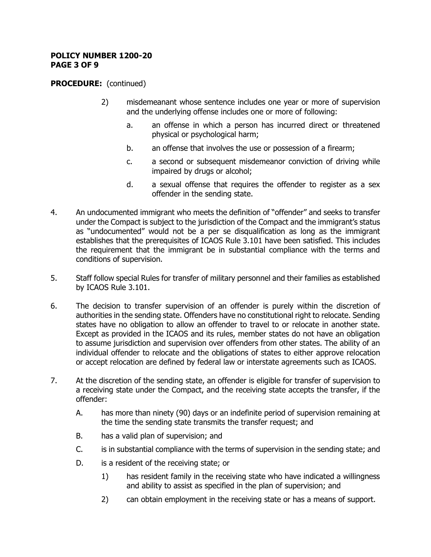### **POLICY NUMBER 1200-20 PAGE 3 OF 9**

- 2) misdemeanant whose sentence includes one year or more of supervision and the underlying offense includes one or more of following:
	- a. an offense in which a person has incurred direct or threatened physical or psychological harm;
	- b. an offense that involves the use or possession of a firearm;
	- c. a second or subsequent misdemeanor conviction of driving while impaired by drugs or alcohol;
	- d. a sexual offense that requires the offender to register as a sex offender in the sending state.
- 4. An undocumented immigrant who meets the definition of "offender" and seeks to transfer under the Compact is subject to the jurisdiction of the Compact and the immigrant's status as "undocumented" would not be a per se disqualification as long as the immigrant establishes that the prerequisites of ICAOS Rule 3.101 have been satisfied. This includes the requirement that the immigrant be in substantial compliance with the terms and conditions of supervision.
- 5. Staff follow special Rules for transfer of military personnel and their families as established by ICAOS Rule 3.101.
- 6. The decision to transfer supervision of an offender is purely within the discretion of authorities in the sending state. Offenders have no constitutional right to relocate. Sending states have no obligation to allow an offender to travel to or relocate in another state. Except as provided in the ICAOS and its rules, member states do not have an obligation to assume jurisdiction and supervision over offenders from other states. The ability of an individual offender to relocate and the obligations of states to either approve relocation or accept relocation are defined by federal law or interstate agreements such as ICAOS.
- 7. At the discretion of the sending state, an offender is eligible for transfer of supervision to a receiving state under the Compact, and the receiving state accepts the transfer, if the offender:
	- A. has more than ninety (90) days or an indefinite period of supervision remaining at the time the sending state transmits the transfer request; and
	- B. has a valid plan of supervision; and
	- C. is in substantial compliance with the terms of supervision in the sending state; and
	- D. is a resident of the receiving state; or
		- 1) has resident family in the receiving state who have indicated a willingness and ability to assist as specified in the plan of supervision; and
		- 2) can obtain employment in the receiving state or has a means of support.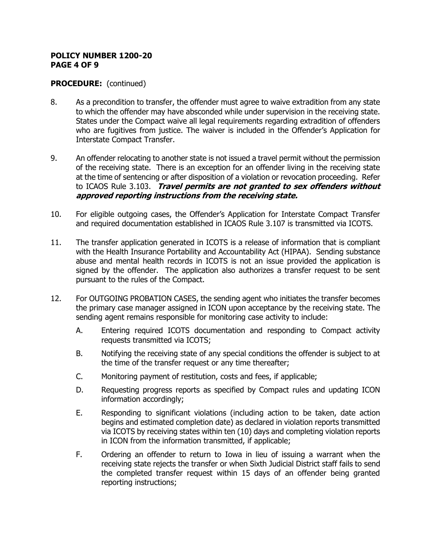#### **POLICY NUMBER 1200-20 PAGE 4 OF 9**

- 8. As a precondition to transfer, the offender must agree to waive extradition from any state to which the offender may have absconded while under supervision in the receiving state. States under the Compact waive all legal requirements regarding extradition of offenders who are fugitives from justice. The waiver is included in the Offender's Application for Interstate Compact Transfer.
- 9. An offender relocating to another state is not issued a travel permit without the permission of the receiving state. There is an exception for an offender living in the receiving state at the time of sentencing or after disposition of a violation or revocation proceeding. Refer to ICAOS Rule 3.103. **Travel permits are not granted to sex offenders without approved reporting instructions from the receiving state.**
- 10. For eligible outgoing cases, the Offender's Application for Interstate Compact Transfer and required documentation established in ICAOS Rule 3.107 is transmitted via ICOTS.
- 11. The transfer application generated in ICOTS is a release of information that is compliant with the Health Insurance Portability and Accountability Act (HIPAA). Sending substance abuse and mental health records in ICOTS is not an issue provided the application is signed by the offender. The application also authorizes a transfer request to be sent pursuant to the rules of the Compact.
- 12. For OUTGOING PROBATION CASES, the sending agent who initiates the transfer becomes the primary case manager assigned in ICON upon acceptance by the receiving state. The sending agent remains responsible for monitoring case activity to include:
	- A. Entering required ICOTS documentation and responding to Compact activity requests transmitted via ICOTS;
	- B. Notifying the receiving state of any special conditions the offender is subject to at the time of the transfer request or any time thereafter;
	- C. Monitoring payment of restitution, costs and fees, if applicable;
	- D. Requesting progress reports as specified by Compact rules and updating ICON information accordingly;
	- E. Responding to significant violations (including action to be taken, date action begins and estimated completion date) as declared in violation reports transmitted via ICOTS by receiving states within ten (10) days and completing violation reports in ICON from the information transmitted, if applicable;
	- F. Ordering an offender to return to Iowa in lieu of issuing a warrant when the receiving state rejects the transfer or when Sixth Judicial District staff fails to send the completed transfer request within 15 days of an offender being granted reporting instructions;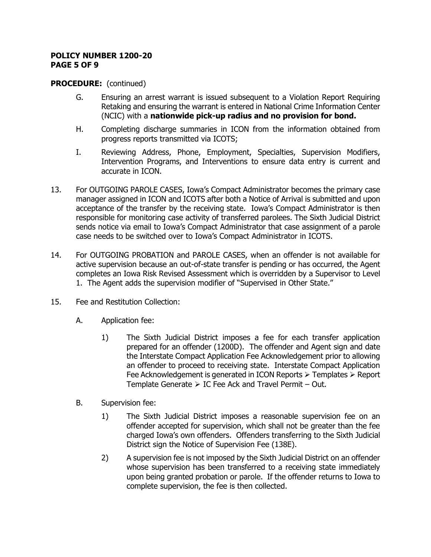### **POLICY NUMBER 1200-20 PAGE 5 OF 9**

- G. Ensuring an arrest warrant is issued subsequent to a Violation Report Requiring Retaking and ensuring the warrant is entered in National Crime Information Center (NCIC) with a **nationwide pick-up radius and no provision for bond.**
- H. Completing discharge summaries in ICON from the information obtained from progress reports transmitted via ICOTS;
- I. Reviewing Address, Phone, Employment, Specialties, Supervision Modifiers, Intervention Programs, and Interventions to ensure data entry is current and accurate in ICON.
- 13. For OUTGOING PAROLE CASES, Iowa's Compact Administrator becomes the primary case manager assigned in ICON and ICOTS after both a Notice of Arrival is submitted and upon acceptance of the transfer by the receiving state. Iowa's Compact Administrator is then responsible for monitoring case activity of transferred parolees. The Sixth Judicial District sends notice via email to Iowa's Compact Administrator that case assignment of a parole case needs to be switched over to Iowa's Compact Administrator in ICOTS.
- 14. For OUTGOING PROBATION and PAROLE CASES, when an offender is not available for active supervision because an out-of-state transfer is pending or has occurred, the Agent completes an Iowa Risk Revised Assessment which is overridden by a Supervisor to Level 1. The Agent adds the supervision modifier of "Supervised in Other State."
- 15. Fee and Restitution Collection:
	- A. Application fee:
		- 1) The Sixth Judicial District imposes a fee for each transfer application prepared for an offender (1200D). The offender and Agent sign and date the Interstate Compact Application Fee Acknowledgement prior to allowing an offender to proceed to receiving state. Interstate Compact Application Fee Acknowledgement is generated in ICON Reports  $\triangleright$  Templates  $\triangleright$  Report Template Generate  $\triangleright$  IC Fee Ack and Travel Permit – Out.
	- B. Supervision fee:
		- 1) The Sixth Judicial District imposes a reasonable supervision fee on an offender accepted for supervision, which shall not be greater than the fee charged Iowa's own offenders. Offenders transferring to the Sixth Judicial District sign the Notice of Supervision Fee (138E).
		- 2) A supervision fee is not imposed by the Sixth Judicial District on an offender whose supervision has been transferred to a receiving state immediately upon being granted probation or parole. If the offender returns to Iowa to complete supervision, the fee is then collected.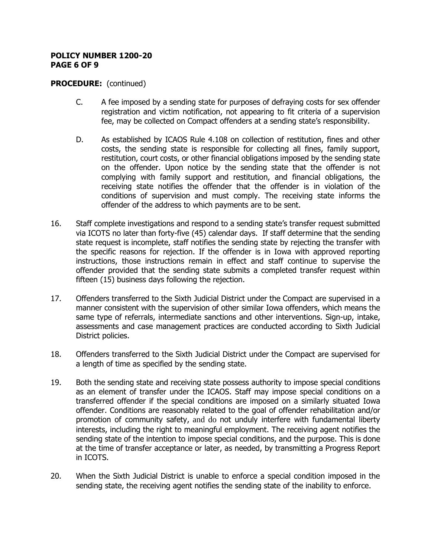#### **POLICY NUMBER 1200-20 PAGE 6 OF 9**

- C. A fee imposed by a sending state for purposes of defraying costs for sex offender registration and victim notification, not appearing to fit criteria of a supervision fee, may be collected on Compact offenders at a sending state's responsibility.
- D. As established by ICAOS Rule 4.108 on collection of restitution, fines and other costs, the sending state is responsible for collecting all fines, family support, restitution, court costs, or other financial obligations imposed by the sending state on the offender. Upon notice by the sending state that the offender is not complying with family support and restitution, and financial obligations, the receiving state notifies the offender that the offender is in violation of the conditions of supervision and must comply. The receiving state informs the offender of the address to which payments are to be sent.
- 16. Staff complete investigations and respond to a sending state's transfer request submitted via ICOTS no later than forty-five (45) calendar days. If staff determine that the sending state request is incomplete, staff notifies the sending state by rejecting the transfer with the specific reasons for rejection. If the offender is in Iowa with approved reporting instructions, those instructions remain in effect and staff continue to supervise the offender provided that the sending state submits a completed transfer request within fifteen (15) business days following the rejection.
- 17. Offenders transferred to the Sixth Judicial District under the Compact are supervised in a manner consistent with the supervision of other similar Iowa offenders, which means the same type of referrals, intermediate sanctions and other interventions. Sign-up, intake, assessments and case management practices are conducted according to Sixth Judicial District policies.
- 18. Offenders transferred to the Sixth Judicial District under the Compact are supervised for a length of time as specified by the sending state.
- 19. Both the sending state and receiving state possess authority to impose special conditions as an element of transfer under the ICAOS. Staff may impose special conditions on a transferred offender if the special conditions are imposed on a similarly situated Iowa offender. Conditions are reasonably related to the goal of offender rehabilitation and/or promotion of community safety, and do not unduly interfere with fundamental liberty interests, including the right to meaningful employment. The receiving agent notifies the sending state of the intention to impose special conditions, and the purpose. This is done at the time of transfer acceptance or later, as needed, by transmitting a Progress Report in ICOTS.
- 20. When the Sixth Judicial District is unable to enforce a special condition imposed in the sending state, the receiving agent notifies the sending state of the inability to enforce.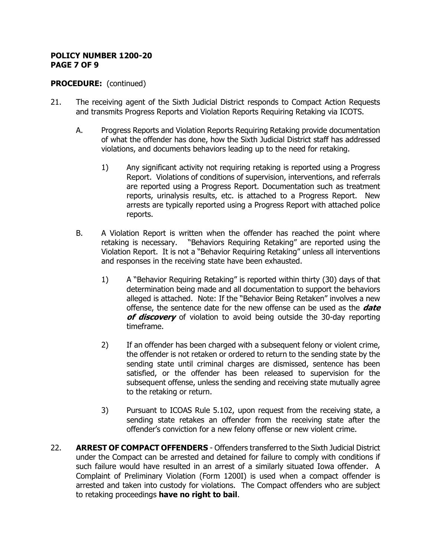### **POLICY NUMBER 1200-20 PAGE 7 OF 9**

- 21. The receiving agent of the Sixth Judicial District responds to Compact Action Requests and transmits Progress Reports and Violation Reports Requiring Retaking via ICOTS.
	- A. Progress Reports and Violation Reports Requiring Retaking provide documentation of what the offender has done, how the Sixth Judicial District staff has addressed violations, and documents behaviors leading up to the need for retaking.
		- 1) Any significant activity not requiring retaking is reported using a Progress Report. Violations of conditions of supervision, interventions, and referrals are reported using a Progress Report. Documentation such as treatment reports, urinalysis results, etc. is attached to a Progress Report. New arrests are typically reported using a Progress Report with attached police reports.
	- B. A Violation Report is written when the offender has reached the point where retaking is necessary. "Behaviors Requiring Retaking" are reported using the Violation Report. It is not a "Behavior Requiring Retaking" unless all interventions and responses in the receiving state have been exhausted.
		- 1) A "Behavior Requiring Retaking" is reported within thirty (30) days of that determination being made and all documentation to support the behaviors alleged is attached. Note: If the "Behavior Being Retaken" involves a new offense, the sentence date for the new offense can be used as the **date of discovery** of violation to avoid being outside the 30-day reporting timeframe.
		- 2) If an offender has been charged with a subsequent felony or violent crime, the offender is not retaken or ordered to return to the sending state by the sending state until criminal charges are dismissed, sentence has been satisfied, or the offender has been released to supervision for the subsequent offense, unless the sending and receiving state mutually agree to the retaking or return.
		- 3) Pursuant to ICOAS Rule 5.102, upon request from the receiving state, a sending state retakes an offender from the receiving state after the offender's conviction for a new felony offense or new violent crime.
- 22. **ARREST OF COMPACT OFFENDERS** Offenders transferred to the Sixth Judicial District under the Compact can be arrested and detained for failure to comply with conditions if such failure would have resulted in an arrest of a similarly situated Iowa offender. A Complaint of Preliminary Violation (Form 1200I) is used when a compact offender is arrested and taken into custody for violations. The Compact offenders who are subject to retaking proceedings **have no right to bail**.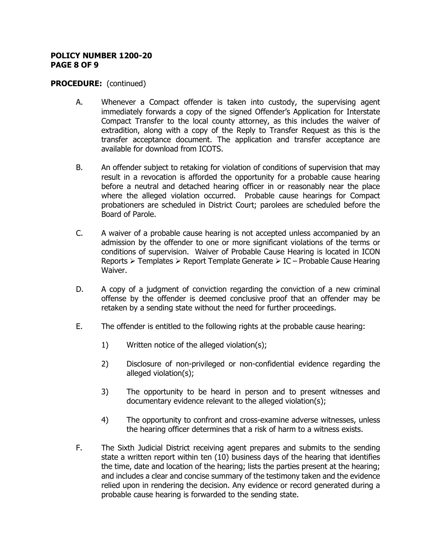#### **POLICY NUMBER 1200-20 PAGE 8 OF 9**

- A. Whenever a Compact offender is taken into custody, the supervising agent immediately forwards a copy of the signed Offender's Application for Interstate Compact Transfer to the local county attorney, as this includes the waiver of extradition, along with a copy of the Reply to Transfer Request as this is the transfer acceptance document. The application and transfer acceptance are available for download from ICOTS.
- B. An offender subject to retaking for violation of conditions of supervision that may result in a revocation is afforded the opportunity for a probable cause hearing before a neutral and detached hearing officer in or reasonably near the place where the alleged violation occurred. Probable cause hearings for Compact probationers are scheduled in District Court; parolees are scheduled before the Board of Parole.
- C. A waiver of a probable cause hearing is not accepted unless accompanied by an admission by the offender to one or more significant violations of the terms or conditions of supervision. Waiver of Probable Cause Hearing is located in ICON Reports  $\triangleright$  Templates  $\triangleright$  Report Template Generate  $\triangleright$  IC – Probable Cause Hearing Waiver.
- D. A copy of a judgment of conviction regarding the conviction of a new criminal offense by the offender is deemed conclusive proof that an offender may be retaken by a sending state without the need for further proceedings.
- E. The offender is entitled to the following rights at the probable cause hearing:
	- 1) Written notice of the alleged violation(s);
	- 2) Disclosure of non-privileged or non-confidential evidence regarding the alleged violation(s);
	- 3) The opportunity to be heard in person and to present witnesses and documentary evidence relevant to the alleged violation(s);
	- 4) The opportunity to confront and cross-examine adverse witnesses, unless the hearing officer determines that a risk of harm to a witness exists.
- F. The Sixth Judicial District receiving agent prepares and submits to the sending state a written report within ten (10) business days of the hearing that identifies the time, date and location of the hearing; lists the parties present at the hearing; and includes a clear and concise summary of the testimony taken and the evidence relied upon in rendering the decision. Any evidence or record generated during a probable cause hearing is forwarded to the sending state.